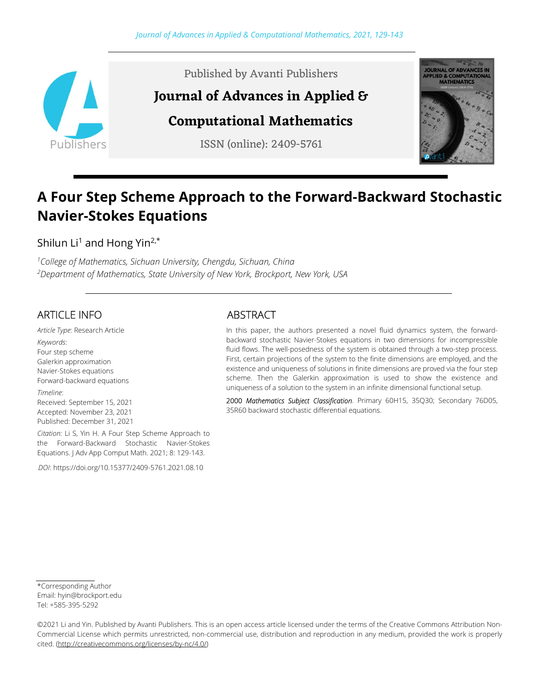

Published by Avanti Publishers

# Journal of Advances in Applied &

# Computational Mathematics

ISSN (online): 2409-5761



# A Four Step Scheme Approach to the Forward-Backward Stochastic Navier-Stokes Equations

Shilun Li<sup>1</sup> and Hong Yin<sup>2,\*</sup>

<sup>1</sup>College of Mathematics, Sichuan University, Chengdu, Sichuan, China <sup>2</sup>Department of Mathematics, State University of New York, Brockport, New York, USA

# ARTICLE INFO

Article Type: Research Article Keywords: Four step scheme Galerkin approximation Navier-Stokes equations Forward-backward equations

Timeline: Received: September 15, 2021 Accepted: November 23, 2021 Published: December 31, 2021

Citation: Li S, Yin H. A Four Step Scheme Approach to the Forward-Backward Stochastic Navier-Stokes Equations. J Adv App Comput Math. 2021; 8: 129-143.

DOI: https://doi.org/10.15377/2409-5761.2021.08.10

## ABSTRACT

In this paper, the authors presented a novel fluid dynamics system, the forwardbackward stochastic Navier-Stokes equations in two dimensions for incompressible fluid flows. The well-posedness of the system is obtained through a two-step process. First, certain projections of the system to the finite dimensions are employed, and the existence and uniqueness of solutions in finite dimensions are proved via the four step scheme. Then the Galerkin approximation is used to show the existence and uniqueness of a solution to the system in an infinite dimensional functional setup.

2000 Mathematics Subject Classification. Primary 60H15, 35Q30; Secondary 76D05, 35R60 backward stochastic differential equations.

<sup>\*</sup>Corresponding Author Email: hyin@brockport.edu Tel: +585-395-5292

<sup>©2021</sup> Li and Yin. Published by Avanti Publishers. This is an open access article licensed under the terms of the Creative Commons Attribution Non-Commercial License which permits unrestricted, non-commercial use, distribution and reproduction in any medium, provided the work is properly cited. (http://creativecommons.org/licenses/by-nc/4.0/)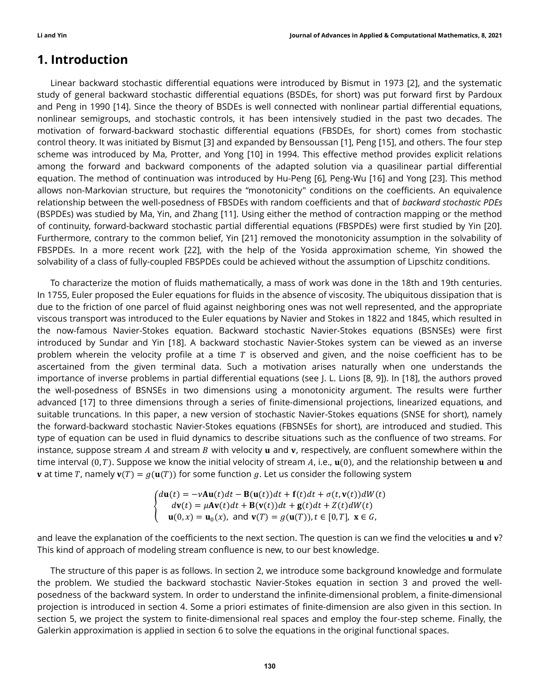## 1. Introduction

Linear backward stochastic differential equations were introduced by Bismut in 1973 [2], and the systematic study of general backward stochastic differential equations (BSDEs, for short) was put forward first by Pardoux and Peng in 1990 [14]. Since the theory of BSDEs is well connected with nonlinear partial differential equations, nonlinear semigroups, and stochastic controls, it has been intensively studied in the past two decades. The motivation of forward-backward stochastic differential equations (FBSDEs, for short) comes from stochastic control theory. It was initiated by Bismut [3] and expanded by Bensoussan [1], Peng [15], and others. The four step scheme was introduced by Ma, Protter, and Yong [10] in 1994. This effective method provides explicit relations among the forward and backward components of the adapted solution via a quasilinear partial differential equation. The method of continuation was introduced by Hu-Peng [6], Peng-Wu [16] and Yong [23]. This method allows non-Markovian structure, but requires the "monotonicity" conditions on the coefficients. An equivalence relationship between the well-posedness of FBSDEs with random coefficients and that of backward stochastic PDEs (BSPDEs) was studied by Ma, Yin, and Zhang [11]. Using either the method of contraction mapping or the method of continuity, forward-backward stochastic partial differential equations (FBSPDEs) were first studied by Yin [20]. Furthermore, contrary to the common belief, Yin [21] removed the monotonicity assumption in the solvability of FBSPDEs. In a more recent work [22], with the help of the Yosida approximation scheme, Yin showed the solvability of a class of fully-coupled FBSPDEs could be achieved without the assumption of Lipschitz conditions.

To characterize the motion of fluids mathematically, a mass of work was done in the 18th and 19th centuries. In 1755, Euler proposed the Euler equations for fluids in the absence of viscosity. The ubiquitous dissipation that is due to the friction of one parcel of fluid against neighboring ones was not well represented, and the appropriate viscous transport was introduced to the Euler equations by Navier and Stokes in 1822 and 1845, which resulted in the now-famous Navier-Stokes equation. Backward stochastic Navier-Stokes equations (BSNSEs) were first introduced by Sundar and Yin [18]. A backward stochastic Navier-Stokes system can be viewed as an inverse problem wherein the velocity profile at a time  $T$  is observed and given, and the noise coefficient has to be ascertained from the given terminal data. Such a motivation arises naturally when one understands the importance of inverse problems in partial differential equations (see J. L. Lions [8, 9]). In [18], the authors proved the well-posedness of BSNSEs in two dimensions using a monotonicity argument. The results were further advanced [17] to three dimensions through a series of finite-dimensional projections, linearized equations, and suitable truncations. In this paper, a new version of stochastic Navier-Stokes equations (SNSE for short), namely the forward-backward stochastic Navier-Stokes equations (FBSNSEs for short), are introduced and studied. This type of equation can be used in fluid dynamics to describe situations such as the confluence of two streams. For instance, suppose stream A and stream B with velocity  $\bf{u}$  and  $\bf{v}$ , respectively, are confluent somewhere within the time interval (0, T). Suppose we know the initial velocity of stream  $A$ , i.e.,  $\mathbf{u}(0)$ , and the relationship between  $\mathbf{u}$  and **v** at time T, namely  $\mathbf{v}(T) = g(\mathbf{u}(T))$  for some function g. Let us consider the following system

> ቐ  $d\mathbf{u}(t) = -v\mathbf{A}\mathbf{u}(t)dt - \mathbf{B}(\mathbf{u}(t))dt + \mathbf{f}(t)dt + \sigma(t, \mathbf{v}(t))dW(t)$  $dv(t) = \mu Av(t) dt + B(v(t)) dt + g(t) dt + Z(t) dW(t)$  $\mathbf{u}(0, x) = \mathbf{u}_0(x)$ , and  $\mathbf{v}(T) = g(\mathbf{u}(T))$ ,  $t \in [0, T]$ ,  $\mathbf{x} \in G$ ,

and leave the explanation of the coefficients to the next section. The question is can we find the velocities  $u$  and  $v$ ? This kind of approach of modeling stream confluence is new, to our best knowledge.

The structure of this paper is as follows. In section 2, we introduce some background knowledge and formulate the problem. We studied the backward stochastic Navier-Stokes equation in section 3 and proved the wellposedness of the backward system. In order to understand the infinite-dimensional problem, a finite-dimensional projection is introduced in section 4. Some a priori estimates of finite-dimension are also given in this section. In section 5, we project the system to finite-dimensional real spaces and employ the four-step scheme. Finally, the Galerkin approximation is applied in section 6 to solve the equations in the original functional spaces.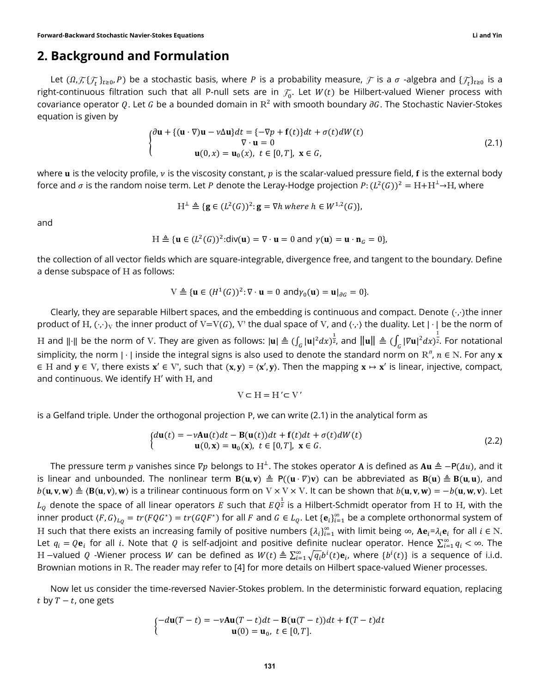#### 2. Background and Formulation

Let  $(0,\mathcal{F}_t\setminus\{f_t\}_{t\ge0},P)$  be a stochastic basis, where  $P$  is a probability measure,  $\mathcal F$  is a  $\sigma$  -algebra and  $\{\mathcal{F}_t\}_{t\ge0}$  is a right-continuous filtration such that all P-null sets are in  $\mathcal{F}_{0}.$  Let  $W(t)$  be Hilbert-valued Wiener process with covariance operator Q. Let G be a bounded domain in  $R^2$  with smooth boundary  $\partial G$ . The Stochastic Navier-Stokes equation is given by

$$
\begin{cases} \partial \mathbf{u} + \{ (\mathbf{u} \cdot \nabla) \mathbf{u} - \nu \Delta \mathbf{u} \} dt = \{-\nabla p + \mathbf{f}(t) \} dt + \sigma(t) dW(t) \\ \nabla \cdot \mathbf{u} = 0 \\ \mathbf{u}(0, x) = \mathbf{u}_0(x), \ t \in [0, T], \ \mathbf{x} \in G, \end{cases}
$$
 (2.1)

where **u** is the velocity profile,  $\nu$  is the viscosity constant,  $p$  is the scalar-valued pressure field, **f** is the external body force and  $\sigma$  is the random noise term. Let  $P$  denote the Leray-Hodge projection  $P\colon (L^2(G))^2 = \mathrm{H} + \mathrm{H}^{\perp} \to \mathrm{H}$ , where

$$
H^{\perp} \triangleq \{ \mathbf{g} \in (L^2(G))^2 \colon \mathbf{g} = \nabla h \text{ where } h \in W^{1,2}(G) \},
$$

and

$$
H \triangleq \{ \mathbf{u} \in (L^2(G))^2 : div(\mathbf{u}) = \nabla \cdot \mathbf{u} = 0 \text{ and } \gamma(\mathbf{u}) = \mathbf{u} \cdot \mathbf{n}_G = 0 \},
$$

the collection of all vector fields which are square-integrable, divergence free, and tangent to the boundary. Define a dense subspace of H as follows:

$$
V \triangleq \{ \mathbf{u} \in (H^1(G))^2 : \nabla \cdot \mathbf{u} = 0 \text{ and } \gamma_0(\mathbf{u}) = \mathbf{u} |_{\partial G} = 0 \}.
$$

Clearly, they are separable Hilbert spaces, and the embedding is continuous and compact. Denote (⋅,⋅)the inner product of H,  $(\cdot,\cdot)_V$  the inner product of V=V(G), V' the dual space of V, and  $\langle\cdot,\cdot\rangle$  the duality. Let  $|\cdot|$  be the norm of H and ∥⋅∥ be the norm of V. They are given as follows:  $|{\bf u}|\triangleq (\int_G |{\bf u}|^2dx)^{\frac{1}{2}}$ , and  $\|{\bf u}\|\triangleq (\int_G |{\nabla{\bf u}}|^2dx)^{\frac{1}{2}}$ . For notational simplicity, the norm |  $\cdot$  | inside the integral signs is also used to denote the standard norm on  $\mathrm{R}^n$ ,  $n\in\mathrm{N}.$  For any  ${\bf x}$  $\in$  H and  $y \in V$ , there exists  $x' \in V'$ , such that  $(x, y) = \langle x', y \rangle$ . Then the mapping  $x \mapsto x'$  is linear, injective, compact, and continuous. We identify H′ with H, and

$$
V \subset H = H' \subset V'
$$

is a Gelfand triple. Under the orthogonal projection P, we can write (2.1) in the analytical form as

$$
\begin{cases}\nd\mathbf{u}(t) = -\nu \mathbf{A}\mathbf{u}(t)dt - \mathbf{B}(\mathbf{u}(t))dt + \mathbf{f}(t)dt + \sigma(t)dW(t) \\
\mathbf{u}(0, \mathbf{x}) = \mathbf{u}_0(\mathbf{x}), \ t \in [0, T], \ \mathbf{x} \in G.\n\end{cases}
$$
\n(2.2)

The pressure term  $p$  vanishes since  $\nabla p$  belongs to  $H^\perp$ . The stokes operator **A** is defined as  ${\bf Au}\triangleq-\mathsf{P}(\varDelta u)$ , and it is linear and unbounded. The nonlinear term  $B(u, v) \triangleq P((u \cdot \nabla)v)$  can be abbreviated as  $B(u) \triangleq B(u, u)$ , and  $b(\mathbf{u}, \mathbf{v}, \mathbf{w}) \triangleq \langle \mathbf{B}(\mathbf{u}, \mathbf{v}), \mathbf{w} \rangle$  is a trilinear continuous form on  $V \times V \times V$ . It can be shown that  $b(\mathbf{u}, \mathbf{v}, \mathbf{w}) = -b(\mathbf{u}, \mathbf{w}, \mathbf{v})$ . Let  $L_Q$  denote the space of all linear operators  $E$  such that  $EQ^{\frac{1}{2}}$  is a Hilbert-Schmidt operator from H to H, with the inner product  $(F, G)_{L_Q} = tr(FQG^*) = tr(GQF^*)$  for all  $F$  and  $G \in L_Q$ . Let  $\{e_i\}_{i=1}^\infty$  be a complete orthonormal system of H such that there exists an increasing family of positive numbers  $\{\lambda_i\}_{i=1}^\infty$  with limit being  $\infty$ ,  $Ae_i = \lambda_i e_i$  for all  $i \in \mathbb{N}$ . Let  $q_i=Q{\bf e}_i$  for all  $i.$  Note that  $Q$  is self-adjoint and positive definite nuclear operator. Hence  $\sum_{i=1}^\infty q_i<\infty$ . The H –valued  $Q$  -Wiener process  $W$  can be defined as  $W(t)\triangleq \sum_{i=1}^\infty\sqrt{q_i}b^i(t)\mathbf{e}_i$ , where  $\{b^i(t)\}$  is a sequence of i.i.d. Brownian motions in R. The reader may refer to [4] for more details on Hilbert space-valued Wiener processes.

Now let us consider the time-reversed Navier-Stokes problem. In the deterministic forward equation, replacing t by  $T - t$ , one gets

$$
\begin{cases}\n-d\mathbf{u}(T-t) = -\nu \mathbf{A}\mathbf{u}(T-t)dt - \mathbf{B}(\mathbf{u}(T-t))dt + \mathbf{f}(T-t)dt \\
\mathbf{u}(0) = \mathbf{u}_0, \ t \in [0,T].\n\end{cases}
$$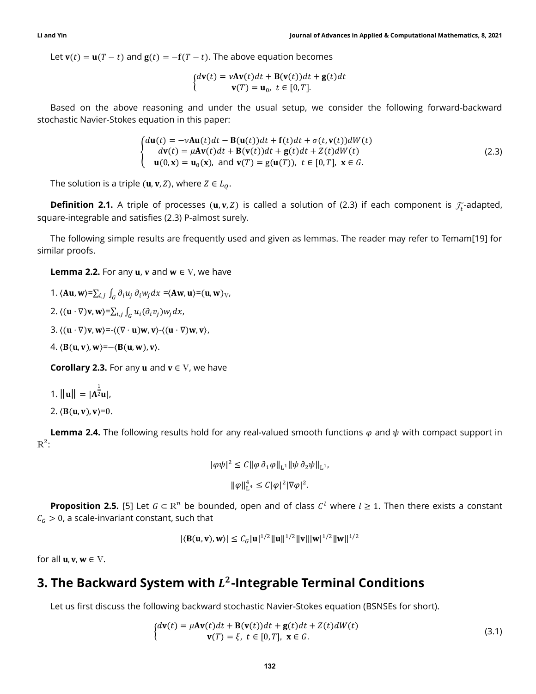Let  $\mathbf{v}(t) = \mathbf{u}(T - t)$  and  $\mathbf{g}(t) = -\mathbf{f}(T - t)$ . The above equation becomes

$$
\begin{cases} d\mathbf{v}(t) = vA\mathbf{v}(t)dt + \mathbf{B}(\mathbf{v}(t))dt + \mathbf{g}(t)dt \\ \mathbf{v}(T) = \mathbf{u}_0, \ t \in [0, T]. \end{cases}
$$

Based on the above reasoning and under the usual setup, we consider the following forward-backward stochastic Navier-Stokes equation in this paper:

$$
\begin{cases}\nd\mathbf{u}(t) = -\nu \mathbf{A}\mathbf{u}(t)dt - \mathbf{B}(\mathbf{u}(t))dt + \mathbf{f}(t)dt + \sigma(t, \mathbf{v}(t))dW(t) \\
 d\mathbf{v}(t) = \mu \mathbf{A}\mathbf{v}(t)dt + \mathbf{B}(\mathbf{v}(t))dt + \mathbf{g}(t)dt + Z(t)dW(t) \\
 \mathbf{u}(0, \mathbf{x}) = \mathbf{u}_0(\mathbf{x}), \text{ and } \mathbf{v}(T) = \mathbf{g}(\mathbf{u}(T)), \ t \in [0, T], \ \mathbf{x} \in G.\n\end{cases}
$$
\n(2.3)

The solution is a triple  $(\mathbf{u}, \mathbf{v}, Z)$ , where  $Z \in L_0$ .

**Definition 2.1.** A triple of processes  $(u, v, Z)$  is called a solution of (2.3) if each component is  $\mathcal{F}_t$ -adapted, square-integrable and satisfies (2.3) P-almost surely.

The following simple results are frequently used and given as lemmas. The reader may refer to Temam[19] for similar proofs.

**Lemma 2.2.** For any  $u$ ,  $v$  and  $w \in V$ , we have

1.  $\langle \mathbf{A} \mathbf{u}, \mathbf{w} \rangle = \sum_{i,j} \int_G \partial_i u_j \, \partial_i w_j dx = \langle \mathbf{A} \mathbf{w}, \mathbf{u} \rangle = (\mathbf{u}, \mathbf{w})_{\nabla},$ 

2. 
$$
\langle (\mathbf{u} \cdot \nabla) \mathbf{v}, \mathbf{w} \rangle = \sum_{i,j} \int_G u_i(\partial_i v_j) w_j dx
$$
,

3.  $\langle (u \cdot \nabla)v, w \rangle = \langle (\nabla \cdot u)w, v \rangle - \langle (u \cdot \nabla)w, v \rangle,$ 

4.  $\langle B(u, v), w \rangle = -\langle B(u, w), v \rangle$ .

**Corollary 2.3.** For any **u** and  $v \in V$ , we have

1. 
$$
\|\mathbf{u}\| = |\mathbf{A}^{\frac{1}{2}}\mathbf{u}|
$$
,

2.  $\langle B(u, v), v \rangle = 0$ .

**Lemma 2.4.** The following results hold for any real-valued smooth functions  $\varphi$  and  $\psi$  with compact support in  $R^2$ :

$$
|\varphi\psi|^2 \le C \|\varphi\,\partial_1\varphi\|_{\mathcal{L}^1} \|\psi\,\partial_2\psi\|_{\mathcal{L}^1},
$$
  

$$
\|\varphi\|_{\mathcal{L}^4}^4 \le C |\varphi|^2 |\nabla\varphi|^2.
$$

**Proposition 2.5.** [5] Let  $G \subset \mathbb{R}^n$  be bounded, open and of class  $C^l$  where  $l \ge 1$ . Then there exists a constant  $C_G > 0$ , a scale-invariant constant, such that

$$
|\langle \mathbf{B}(\mathbf{u},\mathbf{v}),\mathbf{w}\rangle| \leq C_G |\mathbf{u}|^{1/2} ||\mathbf{u}||^{1/2} ||\mathbf{v}|| |\mathbf{w}|^{1/2} ||\mathbf{w}||^{1/2}
$$

for all  $\mathbf{u}, \mathbf{v}, \mathbf{w} \in \mathbf{V}$ .

## 3. The Backward System with  $L^2$ -Integrable Terminal Conditions

Let us first discuss the following backward stochastic Navier-Stokes equation (BSNSEs for short).

$$
\begin{aligned}\n\mathbf{d}\mathbf{v}(t) &= \mu \mathbf{A}\mathbf{v}(t)dt + \mathbf{B}(\mathbf{v}(t))dt + \mathbf{g}(t)dt + Z(t)dW(t) \\
\mathbf{v}(T) &= \xi, \ t \in [0, T], \ \mathbf{x} \in G.\n\end{aligned} \tag{3.1}
$$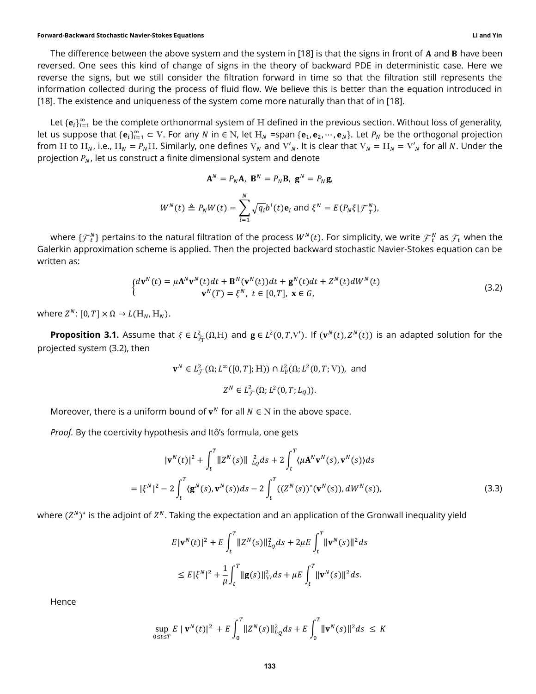#### Forward-Backward Stochastic Navier-Stokes Equations Li and Yin

The difference between the above system and the system in [18] is that the signs in front of  $A$  and  $B$  have been reversed. One sees this kind of change of signs in the theory of backward PDE in deterministic case. Here we reverse the signs, but we still consider the filtration forward in time so that the filtration still represents the information collected during the process of fluid flow. We believe this is better than the equation introduced in [18]. The existence and uniqueness of the system come more naturally than that of in [18].

Let  $\{{\bf e}_i\}_{i=1}^\infty$  be the complete orthonormal system of  $H$  defined in the previous section. Without loss of generality, let us suppose that  $\{e_i\}_{i=1}^\infty\subset V$ . For any  $N$  in  $\in N$ , let  $H_N$  =span  $\{e_1,e_2,\cdots,e_N\}$ . Let  $P_N$  be the orthogonal projection from H to H<sub>N</sub>, i.e., H<sub>N</sub> =  $P_N$ H. Similarly, one defines V<sub>N</sub> and V'<sub>N</sub>. It is clear that V<sub>N</sub> = H<sub>N</sub> = V'<sub>N</sub> for all N. Under the projection  $P_N$ , let us construct a finite dimensional system and denote

$$
\mathbf{A}^N = P_N \mathbf{A}, \ \mathbf{B}^N = P_N \mathbf{B}, \ \mathbf{g}^N = P_N \mathbf{g},
$$

$$
W^N(t) \triangleq P_N W(t) = \sum_{i=1}^N \sqrt{q_i} b^i(t) \mathbf{e}_i \text{ and } \xi^N = E(P_N \xi | \mathcal{F}_T^N),
$$

where  $\{ {\cal F}_t^N \}$  pertains to the natural filtration of the process  $W^N(t).$  For simplicity, we write  ${\cal F}_t^N$  as  ${\cal F}_t$  when the Galerkin approximation scheme is applied. Then the projected backward stochastic Navier-Stokes equation can be written as:

$$
\begin{cases} d\mathbf{v}^{N}(t) = \mu \mathbf{A}^{N} \mathbf{v}^{N}(t) dt + \mathbf{B}^{N}(\mathbf{v}^{N}(t)) dt + \mathbf{g}^{N}(t) dt + Z^{N}(t) dW^{N}(t) \\ \mathbf{v}^{N}(T) = \xi^{N}, \ t \in [0, T], \ \mathbf{x} \in G, \end{cases}
$$
\n(3.2)

where  $Z^N$ :  $[0, T] \times \Omega \rightarrow L(\mathbb{H}_N, \mathbb{H}_N)$ .

**Proposition 3.1.** Assume that  $\xi \in L^2_{\mathcal{F}_T}(\Omega,H)$  and  $\mathbf{g} \in L^2(0,T,V')$ . If  $(\mathbf{v}^N(t),Z^N(t))$  is an adapted solution for the projected system (3.2), then

$$
\mathbf{v}^N \in L^2_{\mathcal{F}}(\Omega; L^{\infty}([0, T]; \mathcal{H})) \cap L^2_{\mathcal{F}}(\Omega; L^2(0, T; \mathcal{V})), \text{ and}
$$
  

$$
Z^N \in L^2_{\mathcal{F}}(\Omega; L^2(0, T; L_{\mathcal{Q}})).
$$

Moreover, there is a uniform bound of  $v^N$  for all  $N \in N$  in the above space.

Proof. By the coercivity hypothesis and Itô's formula, one gets

$$
|\mathbf{v}^{N}(t)|^{2} + \int_{t}^{T} ||Z^{N}(s)|| \frac{2}{L_{Q}} ds + 2 \int_{t}^{T} \langle \mu \mathbf{A}^{N} \mathbf{v}^{N}(s), \mathbf{v}^{N}(s) \rangle ds
$$
  
=  $|\xi^{N}|^{2} - 2 \int_{t}^{T} \langle \mathbf{g}^{N}(s), \mathbf{v}^{N}(s) \rangle ds - 2 \int_{t}^{T} ((Z^{N}(s))^{*} (\mathbf{v}^{N}(s)), dW^{N}(s)),$  (3.3)

where  $(Z^N)^*$  is the adjoint of  $Z^N$ . Taking the expectation and an application of the Gronwall inequality yield

$$
E|\mathbf{v}^{N}(t)|^{2} + E\int_{t}^{T} \|Z^{N}(s)\|_{L_{Q}}^{2} ds + 2\mu E\int_{t}^{T} \|\mathbf{v}^{N}(s)\|^{2} ds
$$
  

$$
\leq E|\xi^{N}|^{2} + \frac{1}{\mu}\int_{t}^{T} \|\mathbf{g}(s)\|_{V}^{2} ds + \mu E\int_{t}^{T} \|\mathbf{v}^{N}(s)\|^{2} ds.
$$

Hence

$$
\sup_{0 \le t \le T} E \, |\, \mathbf{v}^N(t)|^2 \, + E \int_0^T \|Z^N(s)\|_{L_Q}^2 ds + E \int_0^T \|\mathbf{v}^N(s)\|^2 ds \, \le K
$$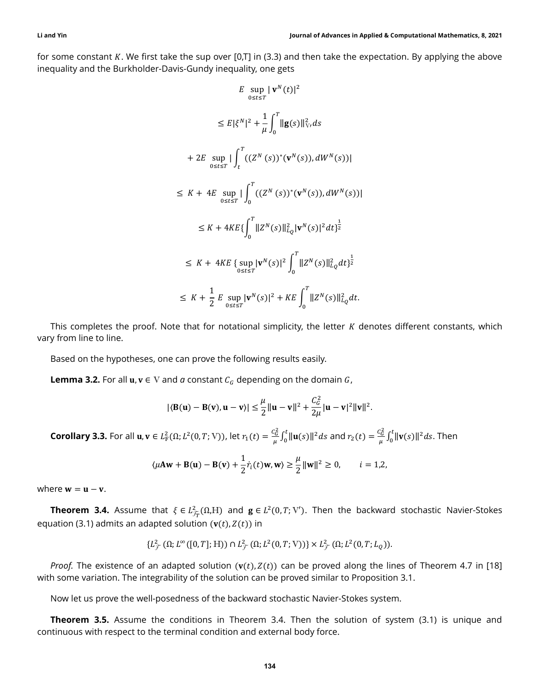for some constant  $K$ . We first take the sup over [0,T] in (3.3) and then take the expectation. By applying the above inequality and the Burkholder-Davis-Gundy inequality, one gets

$$
E \sup_{0 \le t \le T} |\mathbf{v}^{N}(t)|^{2}
$$
  
\n
$$
\le E |\xi^{N}|^{2} + \frac{1}{\mu} \int_{0}^{T} ||\mathbf{g}(s)||_{V}^{2} ds
$$
  
\n+ 2E \sup\_{0 \le t \le T} |\int\_{t}^{T} ((Z^{N}(s))^{\*}(\mathbf{v}^{N}(s)), dW^{N}(s))|  
\n
$$
\le K + 4E \sup_{0 \le t \le T} |\int_{0}^{T} ((Z^{N}(s))^{*}(\mathbf{v}^{N}(s)), dW^{N}(s))|
$$
  
\n
$$
\le K + 4KE \{ \int_{0}^{T} ||Z^{N}(s)||_{L_{Q}}^{2} |\mathbf{v}^{N}(s)|^{2} dt \}^{\frac{1}{2}}
$$
  
\n
$$
\le K + 4KE \{ \sup_{0 \le t \le T} |\mathbf{v}^{N}(s)|^{2} \int_{0}^{T} ||Z^{N}(s)||_{L_{Q}}^{2} dt \}^{\frac{1}{2}}
$$
  
\n
$$
\le K + \frac{1}{2} E \sup_{0 \le t \le T} |\mathbf{v}^{N}(s)|^{2} + KE \int_{0}^{T} ||Z^{N}(s)||_{L_{Q}}^{2} dt.
$$

This completes the proof. Note that for notational simplicity, the letter  $K$  denotes different constants, which vary from line to line.

Based on the hypotheses, one can prove the following results easily.

**Lemma 3.2.** For all  $\mathbf{u}, \mathbf{v} \in \mathbf{V}$  and a constant  $C_G$  depending on the domain  $G$ ,

$$
|\langle \mathbf{B}(\mathbf{u}) - \mathbf{B}(\mathbf{v}), \mathbf{u} - \mathbf{v} \rangle| \le \frac{\mu}{2} ||\mathbf{u} - \mathbf{v}||^2 + \frac{C_G^2}{2\mu} ||\mathbf{u} - \mathbf{v}||^2 ||\mathbf{v}||^2.
$$

**Corollary 3.3.** For all  $\mathbf{u}, \mathbf{v} \in L^2_{\text{F}}(\Omega; L^2(0,T; \text{V}))$ , let  $r_1(t) = \frac{c_G^2}{u}$  $\frac{c_G^2}{\mu} \int_0^t \lVert \mathbf{u}(s) \rVert^2 ds$  and  $r_2(t) = \frac{c_G^2}{\mu}$  $\frac{c_G^2}{\mu} \int_0^t \lVert \mathbf{v}(s) \rVert^2 ds.$  $\int_0^{\infty} ||\mathbf{v}(s)||^2 ds$ . Then

$$
\langle \mu \mathbf{A} \mathbf{w} + \mathbf{B}(\mathbf{u}) - \mathbf{B}(\mathbf{v}) + \frac{1}{2} \dot{r}_i(t) \mathbf{w}, \mathbf{w} \rangle \ge \frac{\mu}{2} ||\mathbf{w}||^2 \ge 0, \qquad i = 1, 2,
$$

where  $w = u - v$ .

**Theorem 3.4.** Assume that  $\xi \in L^2_{\mathcal{F}_T}(\Omega,H)$  and  $\mathbf{g} \in L^2(0,T;\mathrm{V}').$  Then the backward stochastic Navier-Stokes equation (3.1) admits an adapted solution  $(v(t), Z(t))$  in

$$
\{L^2_{\mathcal{F}}(\Omega; L^{\infty}([0,T];H))\cap L^2_{\mathcal{F}}(\Omega; L^2(0,T;V))\}\times L^2_{\mathcal{F}}(\Omega; L^2(0,T;L_0)).
$$

Proof. The existence of an adapted solution  $(v(t), Z(t))$  can be proved along the lines of Theorem 4.7 in [18] with some variation. The integrability of the solution can be proved similar to Proposition 3.1.

Now let us prove the well-posedness of the backward stochastic Navier-Stokes system.

**Theorem 3.5.** Assume the conditions in Theorem 3.4. Then the solution of system (3.1) is unique and continuous with respect to the terminal condition and external body force.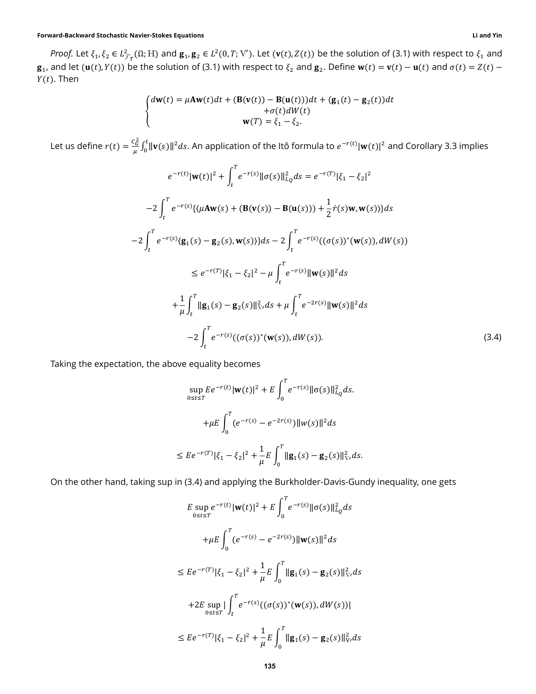*Proof.* Let  $\xi_1, \xi_2 \in L^2_{\mathcal{F}_T}(\Omega; H)$  and  $\mathbf{g}_1, \mathbf{g}_2 \in L^2(0,T;V').$  Let  $(\mathbf{v}(t), Z(t))$  be the solution of (3.1) with respect to  $\xi_1$  and  $\mathbf{g}_1$ , and let  $(\mathbf{u}(t), Y(t))$  be the solution of (3.1) with respect to  $\xi_2$  and  $\mathbf{g}_2$ . Define  $\mathbf{w}(t) = \mathbf{v}(t) - \mathbf{u}(t)$  and  $\sigma(t) = Z(t) - \sigma(t)$  $Y(t)$ . Then

$$
\begin{cases}\nd\mathbf{w}(t) = \mu \mathbf{A} \mathbf{w}(t) dt + (\mathbf{B}(\mathbf{v}(t)) - \mathbf{B}(\mathbf{u}(t))) dt + (\mathbf{g}_1(t) - \mathbf{g}_2(t)) dt \\
+ \sigma(t) dW(t) \\
\mathbf{w}(T) = \xi_1 - \xi_2.\n\end{cases}
$$

Let us define  $r(t) = \frac{c_G^2}{a}$  $\frac{c\hat{c}}{\mu}\int_0^t\|\mathbf{v}(s)\|^2ds.$  An application of the Itô formula to  $e^{-r(t)}|\mathbf{w}(t)|^2$  and Corollary 3.3 implies

$$
e^{-r(t)}|\mathbf{w}(t)|^2 + \int_t^T e^{-r(s)}||\sigma(s)||_{L_Q}^2 ds = e^{-r(T)}|\xi_1 - \xi_2|^2
$$
  
\n
$$
-2\int_t^T e^{-r(s)}\{(\mu A \mathbf{w}(s) + (\mathbf{B}(\mathbf{v}(s)) - \mathbf{B}(\mathbf{u}(s))) + \frac{1}{2}\dot{r}(s)\mathbf{w}, \mathbf{w}(s))\}ds
$$
  
\n
$$
-2\int_t^T e^{-r(s)}\langle \mathbf{g}_1(s) - \mathbf{g}_2(s), \mathbf{w}(s) \rangle\}ds - 2\int_t^T e^{-r(s)}((\sigma(s))^*(\mathbf{w}(s)), dW(s))
$$
  
\n
$$
\leq e^{-r(T)}|\xi_1 - \xi_2|^2 - \mu \int_t^T e^{-r(s)}||\mathbf{w}(s)||^2 ds
$$
  
\n
$$
+ \frac{1}{\mu} \int_t^T ||\mathbf{g}_1(s) - \mathbf{g}_2(s)||_{\nabla}^2 ds + \mu \int_t^T e^{-2r(s)}||\mathbf{w}(s)||^2 ds
$$
  
\n
$$
-2\int_t^T e^{-r(s)}((\sigma(s))^*(\mathbf{w}(s)), dW(s)).
$$
\n(3.4)

Taking the expectation, the above equality becomes

$$
\sup_{0 \le t \le T} E e^{-r(t)} |\mathbf{w}(t)|^2 + E \int_0^T e^{-r(s)} ||\sigma(s)||_{L_Q}^2 ds.
$$
  
+
$$
+ \mu E \int_0^T (e^{-r(s)} - e^{-2r(s)}) ||w(s)||^2 ds
$$
  

$$
\le E e^{-r(T)} |\xi_1 - \xi_2|^2 + \frac{1}{\mu} E \int_0^T ||\mathbf{g}_1(s) - \mathbf{g}_2(s)||_{V'}^2 ds.
$$

On the other hand, taking sup in (3.4) and applying the Burkholder-Davis-Gundy inequality, one gets

$$
E \sup_{0 \le t \le T} e^{-r(t)} |\mathbf{w}(t)|^2 + E \int_0^T e^{-r(s)} ||\sigma(s)||_{L_Q}^2 ds
$$
  
+ 
$$
+ \mu E \int_0^T (e^{-r(s)} - e^{-2r(s)}) ||\mathbf{w}(s)||^2 ds
$$
  

$$
\le E e^{-r(T)} |\xi_1 - \xi_2|^2 + \frac{1}{\mu} E \int_0^T ||\mathbf{g}_1(s) - \mathbf{g}_2(s)||_{V'}^2 ds
$$
  
+ 
$$
2E \sup_{0 \le t \le T} |\int_t^T e^{-r(s)} ((\sigma(s))^* (\mathbf{w}(s)), dW(s))|
$$
  

$$
\le E e^{-r(T)} |\xi_1 - \xi_2|^2 + \frac{1}{\mu} E \int_0^T ||\mathbf{g}_1(s) - \mathbf{g}_2(s)||_{V'}^2 ds
$$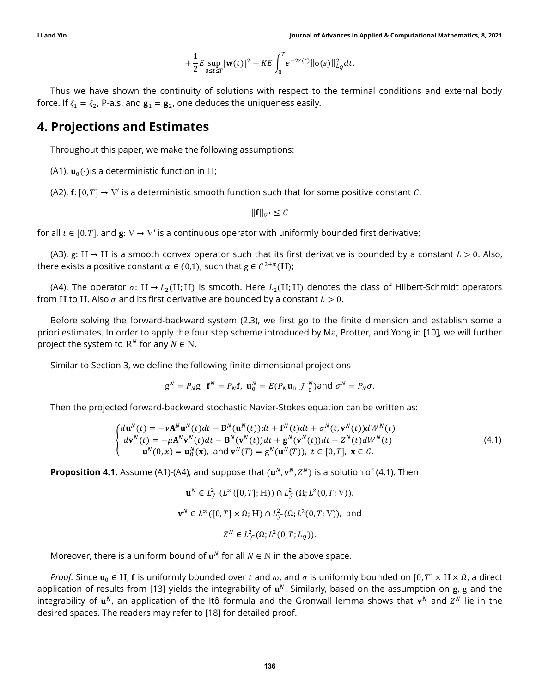$$
+ \frac{1}{2} E \sup_{0 \leq t \leq T} |{\bf w}(t)|^2 + K E \int_0^T e^{-2r(t)} \| \sigma(s) \|_{L_Q}^2 dt.
$$

Thus we have shown the continuity of solutions with respect to the terminal conditions and external body force. If  $\xi_1 = \xi_2$ , P-a.s. and  $\mathbf{g}_1 = \mathbf{g}_2$ , one deduces the uniqueness easily.

## 4. Projections and Estimates

Throughout this paper, we make the following assumptions:

(A1).  $\mathbf{u}_0(\cdot)$  is a deterministic function in H;

(A2).  $f: [0, T] \rightarrow V'$  is a deterministic smooth function such that for some positive constant C,

 $\|\mathbf{f}\|_{V'} \leq C$ 

for all  $t \in [0, T]$ , and  $\mathbf{g}: V \to V'$  is a continuous operator with uniformly bounded first derivative;

(A3). g: H  $\rightarrow$  H is a smooth convex operator such that its first derivative is bounded by a constant  $L > 0$ . Also, there exists a positive constant  $\alpha \in (0,1)$ , such that  $g \in C^{2+\alpha}(H)$ ;

(A4). The operator  $\sigma: H \to L_2(H; H)$  is smooth. Here  $L_2(H; H)$  denotes the class of Hilbert-Schmidt operators from H to H. Also  $\sigma$  and its first derivative are bounded by a constant  $L > 0$ .

Before solving the forward-backward system (2.3), we first go to the finite dimension and establish some a priori estimates. In order to apply the four step scheme introduced by Ma, Protter, and Yong in [10], we will further project the system to  $\mathbb{R}^N$  for any  $N \in \mathbb{N}$ .

Similar to Section 3, we define the following finite-dimensional projections

$$
\mathbf{g}^N = P_N \mathbf{g}, \ \mathbf{f}^N = P_N \mathbf{f}, \ \mathbf{u}_0^N = E(P_N \mathbf{u}_0 | \mathcal{F}_0^N) \text{and } \sigma^N = P_N \sigma.
$$

Then the projected forward-backward stochastic Navier-Stokes equation can be written as:

$$
\begin{cases}\nd\mathbf{u}^{N}(t) = -\nu \mathbf{A}^{N} \mathbf{u}^{N}(t)dt - \mathbf{B}^{N}(\mathbf{u}^{N}(t))dt + \mathbf{f}^{N}(t)dt + \sigma^{N}(t, \mathbf{v}^{N}(t))dW^{N}(t) \\
d\mathbf{v}^{N}(t) = -\mu \mathbf{A}^{N} \mathbf{v}^{N}(t)dt - \mathbf{B}^{N}(\mathbf{v}^{N}(t))dt + \mathbf{g}^{N}(\mathbf{v}^{N}(t))dt + Z^{N}(t)dW^{N}(t) \\
\mathbf{u}^{N}(0, x) = \mathbf{u}_{0}^{N}(\mathbf{x}), \text{ and } \mathbf{v}^{N}(T) = \mathbf{g}^{N}(\mathbf{u}^{N}(T)), t \in [0, T], \mathbf{x} \in G.\n\end{cases}
$$
\n(4.1)

**Proposition 4.1.** Assume (A1)-(A4), and suppose that  $(\mathbf{u}^N, \mathbf{v}^N, Z^N)$  is a solution of (4.1). Then

$$
\mathbf{u}^N \in L^2_{\mathcal{F}}(L^\infty([0,T];\mathbb{H})) \cap L^2_{\mathcal{F}}(\Omega; L^2(0,T;\mathbb{V})),
$$
  

$$
\mathbf{v}^N \in L^\infty([0,T] \times \Omega; \mathbb{H}) \cap L^2_{\mathcal{F}}(\Omega; L^2(0,T;\mathbb{V})), \text{ and}
$$
  

$$
Z^N \in L^2_{\mathcal{F}}(\Omega; L^2(0,T;L_Q)).
$$

Moreover, there is a uniform bound of  $\mathbf{u}^N$  for all  $N \in \mathbb{N}$  in the above space.

*Proof.* Since  $\mathbf{u}_0 \in H$ , **f** is uniformly bounded over t and  $\omega$ , and  $\sigma$  is uniformly bounded on  $[0, T] \times H \times \Omega$ , a direct application of results from [13] yields the integrability of  $u^N$ . Similarly, based on the assumption on  $g$ , g and the integrability of  $\mathbf{u}^N$ , an application of the Itô formula and the Gronwall lemma shows that  $\mathbf{v}^N$  and  $Z^N$  lie in the desired spaces. The readers may refer to [18] for detailed proof.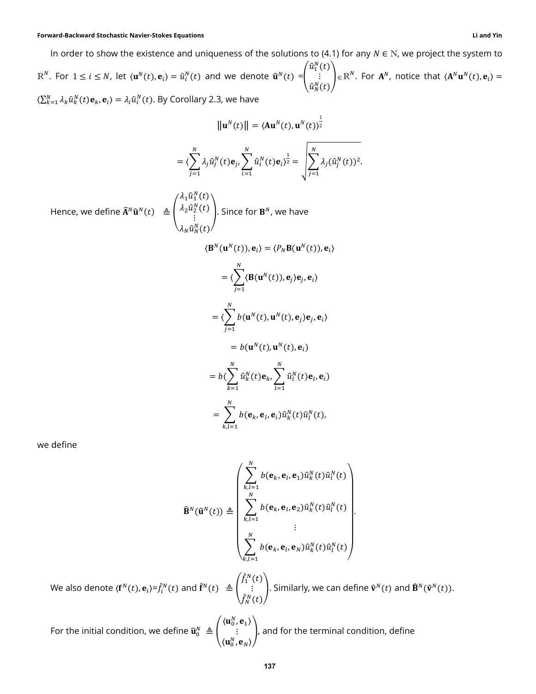#### Forward-Backward Stochastic Navier-Stokes Equations Li and Yin

In order to show the existence and uniqueness of the solutions to (4.1) for any  $N \in N$ , we project the system to

 $\text{R}^N$ . For  $1 \le i \le N$ , let  $\langle \mathbf{u}^N(t), \mathbf{e}_i \rangle = \hat{u}_i^N(t)$  and we denote  $\hat{\mathbf{u}}^N(t) = \begin{bmatrix} 1 & 0 & 0 \\ 0 & 1 & 0 \\ 0 & 0 & 1 \end{bmatrix}$  $\hat{u}_{1}^N(t)$ ⋮  $\hat{u}_N^N(t)$  =  $\mathbb{R}^N$ . For  $\mathbf{A}^N$ , notice that  $\langle \mathbf{A}^N \mathbf{u}^N(t), \mathbf{e}_i \rangle = 0$  $\langle \sum_{k=1}^N \lambda_k \hat{u}_k^N(t) \mathbf{e}_k, \mathbf{e}_i \rangle = \lambda_i \hat{u}_i^N(t)$ . By Corollary 2.3, we have

$$
\|\mathbf{u}^{N}(t)\| = \langle \mathbf{A}\mathbf{u}^{N}(t), \mathbf{u}^{N}(t)\rangle^{\frac{1}{2}}
$$

$$
= \langle \sum_{j=1}^{N} \lambda_{j} \hat{u}_{j}^{N}(t) \mathbf{e}_{j}, \sum_{i=1}^{N} \hat{u}_{i}^{N}(t) \mathbf{e}_{i}\rangle^{\frac{1}{2}} = \sqrt{\sum_{j=1}^{N} \lambda_{j} (\hat{u}_{j}^{N}(t))^{2}}.
$$

$$
\langle \lambda_{1} \hat{u}_{1}^{N}(t) \rangle
$$

Hence, we define 
$$
\widehat{\mathbf{A}}^N \widehat{\mathbf{u}}^N(t) \triangleq \begin{pmatrix} \lambda_2 \widehat{u}_2^N(t) \\ \vdots \\ \lambda_N \widehat{u}_N^N(t) \end{pmatrix}
$$
. Since for  $\mathbf{B}^N$ , we have  
\n
$$
\langle \mathbf{B}^N(\mathbf{u}^N(t)), \mathbf{e}_i \rangle = \langle P_N \mathbf{B}(\mathbf{u}^N(t)), \mathbf{e}_i \rangle
$$
\n
$$
= \langle \sum_{j=1}^N \langle \mathbf{B}(\mathbf{u}^N(t)), \mathbf{e}_j \rangle \mathbf{e}_j, \mathbf{e}_i \rangle
$$
\n
$$
= \langle \sum_{j=1}^N b(\mathbf{u}^N(t), \mathbf{u}^N(t), \mathbf{e}_j) \rangle \mathbf{e}_j, \mathbf{e}_i \rangle
$$
\n
$$
= b(\mathbf{u}^N(t), \mathbf{u}^N(t), \mathbf{e}_i)
$$
\n
$$
= b(\sum_{k=1}^N \widehat{u}_k^N(t) \mathbf{e}_k, \sum_{l=1}^N \widehat{u}_l^N(t) \mathbf{e}_l, \mathbf{e}_i)
$$
\n
$$
= \sum_{k,l=1}^N b(\mathbf{e}_k, \mathbf{e}_l, \mathbf{e}_l) \widehat{u}_k^N(t) \widehat{u}_l^N(t),
$$

we define

$$
\widehat{\mathbf{B}}^{N}(\widehat{\mathbf{u}}^{N}(t)) \triangleq \begin{pmatrix} \sum_{k,l=1}^{N} b(\mathbf{e}_{k}, \mathbf{e}_{l}, \mathbf{e}_{1}) \widehat{u}_{k}^{N}(t) \widehat{u}_{l}^{N}(t) \\ \sum_{k,l=1}^{N} b(\mathbf{e}_{k}, \mathbf{e}_{l}, \mathbf{e}_{2}) \widehat{u}_{k}^{N}(t) \widehat{u}_{l}^{N}(t) \\ \vdots \\ \sum_{k,l=1}^{N} b(\mathbf{e}_{k}, \mathbf{e}_{l}, \mathbf{e}_{N}) \widehat{u}_{k}^{N}(t) \widehat{u}_{l}^{N}(t) \end{pmatrix}.
$$

We also denote  $\langle \mathbf{f}^N(t), \mathbf{e}_i \rangle = \hat{f}_i^N(t)$  and  $\hat{\mathbf{f}}^N(t) \triangleq \hat{f}_i^N(t)$  $\hat{f}^N_1(t)$ ⋮  $\hat{f}_N^N(t)$ . Similarly, we can define  $\hat{\mathbf{v}}^N(t)$  and  $\hat{\mathbf{B}}^N(\hat{\mathbf{v}}^N(t))$ .

For the initial condition, we define  $\widehat{\mathbf{u}}_{0}^{N}\triangleq\left\lbrack \right\rbrack$  $\langle \mathbf u_0^N, \mathbf e_1 \rangle$ ⋮  $\langle \mathbf u_0^N, \mathbf e_N \rangle$ ), and for the terminal condition, define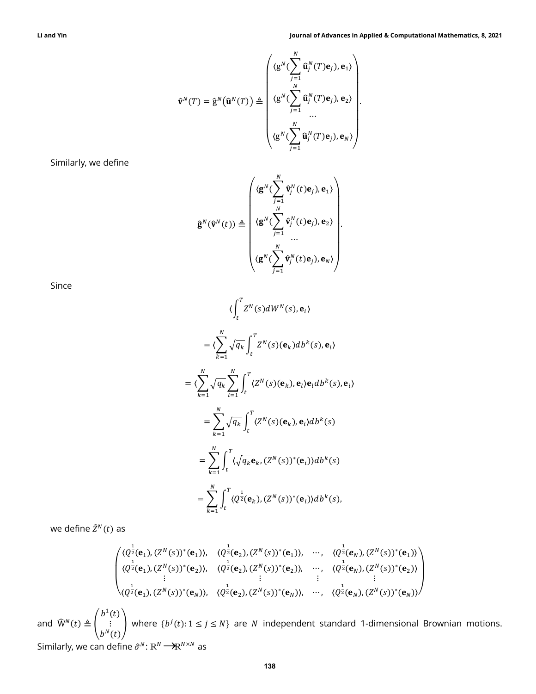$$
\widehat{\mathbf{v}}^{N}(T) = \widehat{\mathbf{g}}^{N}(\widehat{\mathbf{u}}^{N}(T)) \triangleq \begin{pmatrix} \langle \mathbf{g}^{N}(\sum_{j=1}^{N} \widehat{\mathbf{u}}_{j}^{N}(T)\mathbf{e}_{j}), \mathbf{e}_{1} \rangle \\ \langle \mathbf{g}^{N}(\sum_{j=1}^{N} \widehat{\mathbf{u}}_{j}^{N}(T)\mathbf{e}_{j}), \mathbf{e}_{2} \rangle \\ \vdots \\ \langle \mathbf{g}^{N}(\sum_{j=1}^{N} \widehat{\mathbf{u}}_{j}^{N}(T)\mathbf{e}_{j}), \mathbf{e}_{N} \rangle \end{pmatrix}.
$$

Similarly, we define

$$
\hat{\mathbf{g}}^{N}(\hat{\mathbf{v}}^{N}(t)) \triangleq \begin{pmatrix} \langle \mathbf{g}^{N}(\sum_{j=1}^{N}\hat{\mathbf{v}}^{N}_{j}(t)\mathbf{e}_{j}), \mathbf{e}_{1} \rangle \\ \langle \mathbf{g}^{N}(\sum_{j=1}^{N}\hat{\mathbf{v}}^{N}_{j}(t)\mathbf{e}_{j}), \mathbf{e}_{2} \rangle \\ \vdots \\ \langle \mathbf{g}^{N}(\sum_{j=1}^{N}\hat{\mathbf{v}}^{N}_{j}(t)\mathbf{e}_{j}), \mathbf{e}_{N} \rangle \end{pmatrix}.
$$

Since

$$
\langle \int_{t}^{T} Z^{N}(s) dW^{N}(s), \mathbf{e}_{i} \rangle
$$
  
\n
$$
= \langle \sum_{k=1}^{N} \sqrt{q_{k}} \int_{t}^{T} Z^{N}(s) (\mathbf{e}_{k}) db^{k}(s), \mathbf{e}_{i} \rangle
$$
  
\n
$$
= \langle \sum_{k=1}^{N} \sqrt{q_{k}} \sum_{l=1}^{N} \int_{t}^{T} \langle Z^{N}(s) (\mathbf{e}_{k}), \mathbf{e}_{l} \rangle \mathbf{e}_{l} db^{k}(s), \mathbf{e}_{i} \rangle
$$
  
\n
$$
= \sum_{k=1}^{N} \sqrt{q_{k}} \int_{t}^{T} \langle Z^{N}(s) (\mathbf{e}_{k}), \mathbf{e}_{i} \rangle db^{k}(s)
$$
  
\n
$$
= \sum_{k=1}^{N} \int_{t}^{T} \langle \sqrt{q_{k}} \mathbf{e}_{k}, (Z^{N}(s))^{*} (\mathbf{e}_{i}) \rangle db^{k}(s)
$$
  
\n
$$
= \sum_{k=1}^{N} \int_{t}^{T} \langle Q^{\frac{1}{2}}(\mathbf{e}_{k}), (Z^{N}(s))^{*} (\mathbf{e}_{i}) \rangle db^{k}(s),
$$

we define  $\hat{Z}^N(t)$  as

$$
\begin{pmatrix}\n\langle Q^{\frac{1}{2}}(\mathbf{e}_{1}), (Z^{N}(s))^{*}(\mathbf{e}_{1})\rangle, & \langle Q^{\frac{1}{2}}(\mathbf{e}_{2}), (Z^{N}(s))^{*}(\mathbf{e}_{1})\rangle, & \cdots, & \langle Q^{\frac{1}{2}}(\mathbf{e}_{N}), (Z^{N}(s))^{*}(\mathbf{e}_{1})\rangle \\
\langle Q^{\frac{1}{2}}(\mathbf{e}_{1}), (Z^{N}(s))^{*}(\mathbf{e}_{2})\rangle, & \langle Q^{\frac{1}{2}}(\mathbf{e}_{2}), (Z^{N}(s))^{*}(\mathbf{e}_{2})\rangle, & \cdots, & \langle Q^{\frac{1}{2}}(\mathbf{e}_{N}), (Z^{N}(s))^{*}(\mathbf{e}_{2})\rangle \\
\vdots & \vdots & \vdots & \vdots \\
\langle Q^{\frac{1}{2}}(\mathbf{e}_{1}), (Z^{N}(s))^{*}(\mathbf{e}_{N})\rangle, & \langle Q^{\frac{1}{2}}(\mathbf{e}_{2}), (Z^{N}(s))^{*}(\mathbf{e}_{N})\rangle, & \cdots, & \langle Q^{\frac{1}{2}}(\mathbf{e}_{N}), (Z^{N}(s))^{*}(\mathbf{e}_{N})\rangle\n\end{pmatrix}
$$

and  $\widehat{W}^{N}(t) \triangleq$  $b^1(t)$ ⋮  $\begin{pmatrix} \vdots \\ b^N(t) \end{pmatrix}$  where  $\{b^j(t): 1 \le j \le N\}$  are *N* independent standard 1-dimensional Brownian motions.

Similarly, we can define  $\hat{\sigma}^N$ :  $R^N \longrightarrow R^{N \times N}$  as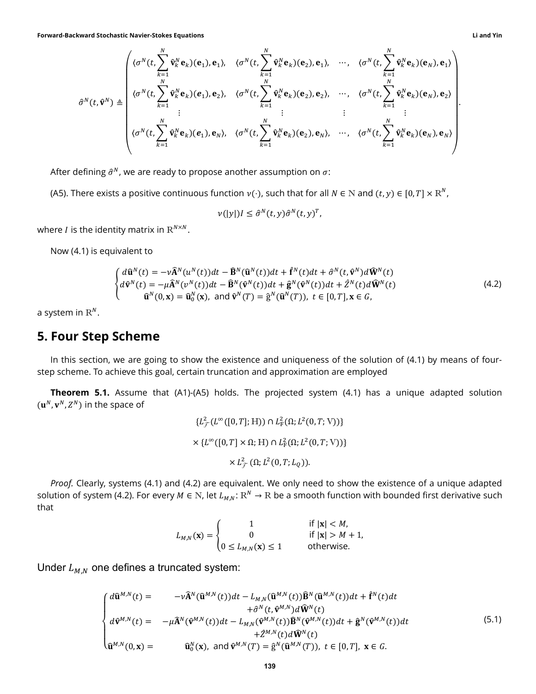Forward-Backward Stochastic Navier-Stokes Equations Li and Yin

$$
\hat{\sigma}^{N}(t,\hat{\mathbf{v}}^{N}) \triangleq \begin{pmatrix}\n\langle \sigma^{N}(t, \sum_{k=1}^{N} \hat{\mathbf{v}}_{k}^{N} \mathbf{e}_{k})(\mathbf{e}_{1}), \quad \langle \sigma^{N}(t, \sum_{k=1}^{N} \hat{\mathbf{v}}_{k}^{N} \mathbf{e}_{k})(\mathbf{e}_{2}), \mathbf{e}_{1}\rangle, \quad \cdots, \quad \langle \sigma^{N}(t, \sum_{k=1}^{N} \hat{\mathbf{v}}_{k}^{N} \mathbf{e}_{k})(\mathbf{e}_{N}), \mathbf{e}_{1}\rangle \\
\langle \sigma^{N}(t, \sum_{k=1}^{N} \hat{\mathbf{v}}_{k}^{N} \mathbf{e}_{k})(\mathbf{e}_{1}), \mathbf{e}_{2}\rangle, \quad \langle \sigma^{N}(t, \sum_{k=1}^{N} \hat{\mathbf{v}}_{k}^{N} \mathbf{e}_{k})(\mathbf{e}_{2}), \mathbf{e}_{2}\rangle, \quad \cdots, \quad \langle \sigma^{N}(t, \sum_{k=1}^{N} \hat{\mathbf{v}}_{k}^{N} \mathbf{e}_{k})(\mathbf{e}_{N}), \mathbf{e}_{2}\rangle \\
\vdots \qquad \vdots \qquad \vdots \qquad \vdots \qquad \vdots \qquad \vdots \qquad \vdots \\
\langle \sigma^{N}(t, \sum_{k=1}^{N} \hat{\mathbf{v}}_{k}^{N} \mathbf{e}_{k})(\mathbf{e}_{1}), \mathbf{e}_{N}\rangle, \quad \langle \sigma^{N}(t, \sum_{k=1}^{N} \hat{\mathbf{v}}_{k}^{N} \mathbf{e}_{k})(\mathbf{e}_{2}), \mathbf{e}_{N}\rangle, \quad \cdots, \quad \langle \sigma^{N}(t, \sum_{k=1}^{N} \hat{\mathbf{v}}_{k}^{N} \mathbf{e}_{k})(\mathbf{e}_{N}), \mathbf{e}_{N}\rangle\n\end{pmatrix}
$$

After defining  $\hat{\sigma}^N$ , we are ready to propose another assumption on  $\sigma$ :

(A5). There exists a positive continuous function  $v(\cdot)$ , such that for all  $N \in N$  and  $(t, y) \in [0, T] \times R^N$ ,

$$
\nu(|y|)I\leq \hat{\sigma}^N(t,y)\hat{\sigma}^N(t,y)^T,
$$

where *I* is the identity matrix in  $R^{N \times N}.$ 

Now (4.1) is equivalent to

$$
\begin{cases}\nd\widehat{\mathbf{u}}^{N}(t) = -\nu \widehat{\mathbf{A}}^{N}(u^{N}(t))dt - \widehat{\mathbf{B}}^{N}(\widehat{\mathbf{u}}^{N}(t))dt + \widehat{\mathbf{f}}^{N}(t)dt + \widehat{\sigma}^{N}(t,\widehat{\mathbf{v}}^{N})d\widehat{\mathbf{W}}^{N}(t) \\
d\widehat{\mathbf{v}}^{N}(t) = -\mu \widehat{\mathbf{A}}^{N}(v^{N}(t))dt - \widehat{\mathbf{B}}^{N}(\widehat{\mathbf{v}}^{N}(t))dt + \widehat{\mathbf{g}}^{N}(\widehat{\mathbf{v}}^{N}(t))dt + \widehat{Z}^{N}(t)d\widehat{\mathbf{W}}^{N}(t) \\
\widehat{\mathbf{u}}^{N}(0,\mathbf{x}) = \widehat{\mathbf{u}}_{0}^{N}(\mathbf{x}), \text{ and } \widehat{\mathbf{v}}^{N}(T) = \widehat{\mathbf{g}}^{N}(\widehat{\mathbf{u}}^{N}(T)), t \in [0,T], \mathbf{x} \in G,\n\end{cases}
$$
\n(4.2)

a system in  $\mathbb{R}^N.$ 

#### 5. Four Step Scheme

In this section, we are going to show the existence and uniqueness of the solution of (4.1) by means of fourstep scheme. To achieve this goal, certain truncation and approximation are employed

**Theorem 5.1.** Assume that (A1)-(A5) holds. The projected system (4.1) has a unique adapted solution  $(\mathbf{u}^N, \mathbf{v}^N, Z^N)$  in the space of

$$
\{L^2_{\mathcal{F}}(L^{\infty}([0, T]; H)) \cap L^2_{\mathcal{F}}(\Omega; L^2(0, T; V))\}
$$
  
×  $\{L^{\infty}([0, T] \times \Omega; H) \cap L^2_{\mathcal{F}}(\Omega; L^2(0, T; V))\}$   
×  $L^2_{\mathcal{F}}(\Omega; L^2(0, T; L_Q)).$ 

Proof. Clearly, systems (4.1) and (4.2) are equivalent. We only need to show the existence of a unique adapted solution of system (4.2). For every  $M\in\mathbb{N}$ , let  $L_{M,N}\colon\mathbb{R}^N\to\mathbb{R}$  be a smooth function with bounded first derivative such that

$$
L_{M,N}(\mathbf{x}) = \begin{cases} 1 & \text{if } |\mathbf{x}| < M, \\ 0 & \text{if } |\mathbf{x}| > M+1, \\ 0 \le L_{M,N}(\mathbf{x}) \le 1 & \text{otherwise.} \end{cases}
$$

Under  $L_{M,N}$  one defines a truncated system:

$$
\begin{cases}\nd\hat{\mathbf{u}}^{M,N}(t) = -\nu \hat{\mathbf{A}}^{N}(\hat{\mathbf{u}}^{M,N}(t))dt - L_{M,N}(\hat{\mathbf{u}}^{M,N}(t))\hat{\mathbf{B}}^{N}(\hat{\mathbf{u}}^{M,N}(t))dt + \hat{\mathbf{f}}^{N}(t)dt \\
+\hat{\sigma}^{N}(t, \hat{\mathbf{v}}^{M,N})d\hat{\mathbf{W}}^{N}(t) \\
d\hat{\mathbf{v}}^{M,N}(t) = -\mu \hat{\mathbf{A}}^{N}(\hat{\mathbf{v}}^{M,N}(t))dt - L_{M,N}(\hat{\mathbf{v}}^{M,N}(t))\hat{\mathbf{B}}^{N}(\hat{\mathbf{v}}^{M,N}(t))dt + \hat{\mathbf{g}}^{N}(\hat{\mathbf{v}}^{M,N}(t))dt \\
+ \hat{\mathbf{z}}^{M,N}(t)d\hat{\mathbf{W}}^{N}(t) \\
\hat{\mathbf{u}}^{M,N}(0,\mathbf{x}) = \hat{\mathbf{u}}_{0}^{N}(\mathbf{x}), \text{ and } \hat{\mathbf{v}}^{M,N}(T) = \hat{\mathbf{g}}^{N}(\hat{\mathbf{u}}^{M,N}(T)), t \in [0,T], \mathbf{x} \in G.\n\end{cases}
$$
\n(5.1)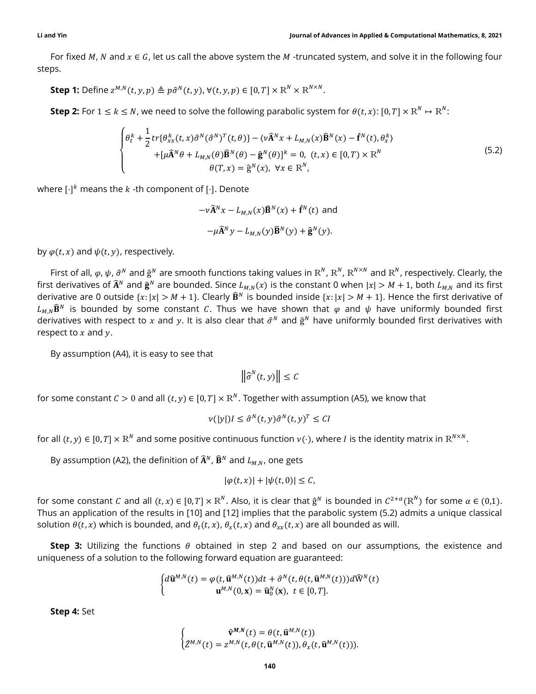For fixed M, N and  $x \in G$ , let us call the above system the M -truncated system, and solve it in the following four steps.

**Step 1:** Define  $z^{M,N}(t, y, p) \triangleq p\hat{\sigma}^N(t, y)$ ,  $\forall (t, y, p) \in [0, T] \times \mathbb{R}^N \times \mathbb{R}^{N \times N}$ .

**Step 2:** For  $1 \le k \le N$ , we need to solve the following parabolic system for  $\theta(t, x)$ :  $[0, T] \times \mathbb{R}^N \mapsto \mathbb{R}^N$ :

$$
\begin{cases}\n\theta_t^k + \frac{1}{2}tr\{\theta_{xx}^k(t,x)\hat{\sigma}^N(\hat{\sigma}^N)^T(t,\theta)\} - \langle v\hat{\mathbf{A}}^N x + L_{M,N}(x)\hat{\mathbf{B}}^N(x) - \hat{\mathbf{f}}^N(t), \theta_x^k\rangle \\
+ [\mu \hat{\mathbf{A}}^N \theta + L_{M,N}(\theta)\hat{\mathbf{B}}^N(\theta) - \hat{\mathbf{g}}^N(\theta)]^k = 0, \ (t,x) \in [0,T) \times \mathbb{R}^N \\
\theta(T,x) = \hat{\mathbf{g}}^N(x), \ \forall x \in \mathbb{R}^N,\n\end{cases}
$$
\n(5.2)

where  $\lceil \cdot \rceil^k$  means the  $k$  -th component of  $\lceil \cdot \rceil$ . Denote

 $-v\mathbf{\hat{A}}^N x - L_{MN}(x)\mathbf{\hat{B}}^N(x) + \mathbf{\hat{f}}^N(t)$  and  $-\mu \widehat{\mathbf{A}}^N y - L_{M,N}(y) \widehat{\mathbf{B}}^N(y) + \widehat{\mathbf{g}}^N(y).$ 

by  $\varphi(t, x)$  and  $\psi(t, y)$ , respectively.

First of all,  $\varphi$ ,  $\psi$ ,  $\hat{\sigma}^N$  and  $\hat{g}^N$  are smooth functions taking values in  $R^N$ ,  $R^N$ ,  $R^{N\times N}$  and  $R^N$ , respectively. Clearly, the first derivatives of  $\widehat{A}^N$  and  $\widehat{g}^N$  are bounded. Since  $L_{M,N}(x)$  is the constant 0 when  $|x|>M+1$ , both  $L_{M,N}$  and its first derivative are 0 outside  $\{x: |x| > M + 1\}$ . Clearly  $\widehat{\mathbf{B}}^N$  is bounded inside  $\{x: |x| > M + 1\}$ . Hence the first derivative of  $L_{M,N}$  $\hat{\mathbf{B}}^{N}$  is bounded by some constant C. Thus we have shown that  $\varphi$  and  $\psi$  have uniformly bounded first derivatives with respect to x and y. It is also clear that  $\hat{\sigma}^N$  and  $\hat{g}^N$  have uniformly bounded first derivatives with respect to  $x$  and  $y$ .

By assumption (A4), it is easy to see that

$$
\left\|\widehat{\sigma}^N(t,y)\right\| \leq C
$$

for some constant  $C > 0$  and all  $(t, y) \in [0, T] \times \mathbb{R}^N$ . Together with assumption (A5), we know that

$$
\nu(|y|)I \leq \hat{\sigma}^N(t,y)\hat{\sigma}^N(t,y)^T \leq CI
$$

for all  $(t,y)\in[0,T]\times{\rm R}^N$  and some positive continuous function  $\nu(\cdot)$ , where  $I$  is the identity matrix in  ${\rm R}^{N\times N}.$ 

By assumption (A2), the definition of  $\widehat{A}^N$ ,  $\widehat{B}^N$  and  $L_{M,N}$ , one gets

$$
|\varphi(t,x)|+|\psi(t,0)|\leq C,
$$

for some constant C and all  $(t, x) \in [0, T] \times \mathbb{R}^N$ . Also, it is clear that  $\hat{g}^N$  is bounded in  $C^{2+\alpha}(\mathbb{R}^N)$  for some  $\alpha \in (0,1)$ . Thus an application of the results in [10] and [12] implies that the parabolic system (5.2) admits a unique classical solution  $\theta(t, x)$  which is bounded, and  $\theta_t(t, x)$ ,  $\theta_x(t, x)$  and  $\theta_{xx}(t, x)$  are all bounded as will.

**Step 3:** Utilizing the functions  $\theta$  obtained in step 2 and based on our assumptions, the existence and uniqueness of a solution to the following forward equation are guaranteed:

$$
\begin{cases} d\widehat{\mathbf{u}}^{M,N}(t) = \varphi(t, \widehat{\mathbf{u}}^{M,N}(t))dt + \widehat{\sigma}^N(t, \theta(t, \widehat{\mathbf{u}}^{M,N}(t)))d\widehat{W}^N(t) \\ \mathbf{u}^{M,N}(0, \mathbf{x}) = \widehat{\mathbf{u}}_0^N(\mathbf{x}), \ t \in [0, T]. \end{cases}
$$

Step 4: Set

$$
\begin{cases} \hat{\mathbf{v}}^{M,N}(t) = \theta(t, \hat{\mathbf{u}}^{M,N}(t)) \\ \hat{Z}^{M,N}(t) = z^{M,N}(t, \theta(t, \hat{\mathbf{u}}^{M,N}(t)), \theta_x(t, \hat{\mathbf{u}}^{M,N}(t))). \end{cases}
$$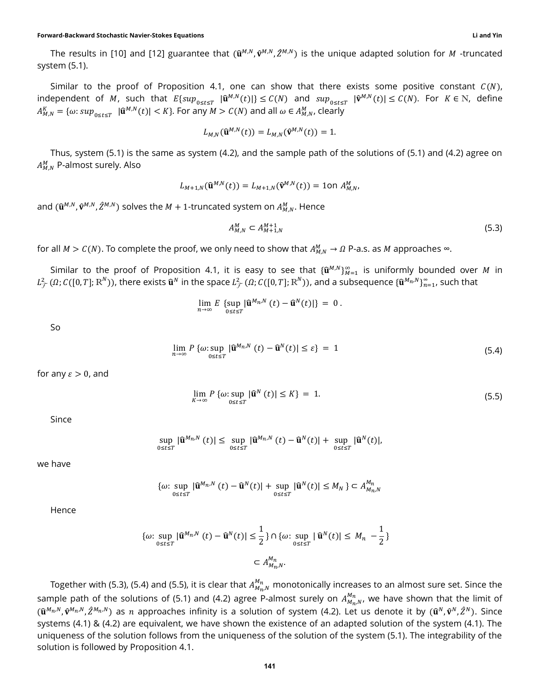The results in [10] and [12] guarantee that  $(\hat{\mathbf{u}}^{M,N}, \hat{\mathbf{v}}^{M,N}, \hat{Z}^{M,N})$  is the unique adapted solution for M-truncated system (5.1).

Similar to the proof of Proposition 4.1, one can show that there exists some positive constant  $C(N)$ , independent of M, such that  $E\{sup_{0\le t\le T}|\hat{\mathbf{u}}^{M,N}(t)|\}\le C(N)$  and  $sup_{0\le t\le T}|\hat{\mathbf{v}}^{M,N}(t)|\le C(N)$ . For  $K\in\mathbb{N}$ , define  $A_{M,N}^K = \{\omega: sup_{0 \leq t \leq T} \,|\, \widehat{\mathbf{u}}^{M,N}(t)| \leq K\}.$  For any  $M > C(N)$  and all  $\omega \in A_{M,N}^M$ , clearly

$$
L_{M,N}(\widehat{\mathbf{u}}^{M,N}(t))=L_{M,N}(\widehat{\mathbf{v}}^{M,N}(t))=1.
$$

Thus, system (5.1) is the same as system (4.2), and the sample path of the solutions of (5.1) and (4.2) agree on  $A_{M,N}^M$  P-almost surely. Also

$$
L_{M+1,N}(\widehat{\mathbf{u}}^{M,N}(t)) = L_{M+1,N}(\widehat{\mathbf{v}}^{M,N}(t)) = 1 \text{on } A_{M,N}^M,
$$

and  $(\widehat{\mathbf{u}}^{M,N},\widehat{\mathbf{v}}^{M,N},\widehat{Z}^{M,N})$  solves the  $M+1$ -truncated system on  $A_{M,N}^M.$  Hence

$$
A_{M,N}^M \subset A_{M+1,N}^{M+1} \tag{5.3}
$$

for all  $M > C(N)$ . To complete the proof, we only need to show that  $A_{M,N}^M \to \Omega$  P-a.s. as M approaches  $\infty$ .

Similar to the proof of Proposition 4.1, it is easy to see that  $\{\widehat{\mathbf{u}}^{M,N}\}_{M=1}^\infty$  is uniformly bounded over  $M$  in  $L^2_\mathcal{F}(\Omega;C([0,T];\text{R}^N))$ , there exists  $\widehat{\mathbf{u}}^N$  in the space  $L^2_\mathcal{F}(\Omega;C([0,T];\text{R}^N))$ , and a subsequence  $\{\widehat{\mathbf{u}}^{M_n,N}\}_{n=1}^\infty$ , such that

$$
\lim_{n\to\infty} E \left\{\sup_{0\leq t\leq T} |\widehat{\mathbf{u}}^{M_n,N}(t)-\widehat{\mathbf{u}}^N(t)|\right\} = 0.
$$

So

$$
\lim_{n \to \infty} P\left\{\omega : \sup_{0 \le t \le T} |\widehat{\mathbf{u}}^{M_n, N}(t) - \widehat{\mathbf{u}}^N(t)| \le \varepsilon \right\} = 1
$$
\n(5.4)

for any  $\varepsilon > 0$ , and

 $\lim_{K \to \infty} P \{ \omega : \sup_{0 \le t \le T} |\widehat{\mathbf{u}}^N(t)| \le K \} = 1.$ (5.5)

Since

$$
\sup_{0\leq t\leq T}|\widehat{\mathbf{u}}^{M_n,N}(t)| \leq \sup_{0\leq t\leq T}|\widehat{\mathbf{u}}^{M_n,N}(t)-\widehat{\mathbf{u}}^N(t)| + \sup_{0\leq t\leq T}|\widehat{\mathbf{u}}^N(t)|,
$$

we have

$$
\{\omega: \sup_{0 \le t \le T} |\widehat{\mathbf{u}}^{M_n, N}(t) - \widehat{\mathbf{u}}^N(t)| + \sup_{0 \le t \le T} |\widehat{\mathbf{u}}^N(t)| \le M_N \} \subset A_{M_n, N}^{M_n}
$$

Hence

$$
\{\omega: \sup_{0 \le t \le T} |\widehat{\mathbf{u}}^{M_n, N}(t) - \widehat{\mathbf{u}}^N(t)| \le \frac{1}{2}\} \cap \{\omega: \sup_{0 \le t \le T} |\widehat{\mathbf{u}}^N(t)| \le M_n - \frac{1}{2}\}
$$
  

$$
\subset A_{M_n, N}^{M_n}.
$$

Together with (5.3), (5.4) and (5.5), it is clear that  $A_{M_n,N}^{M_n}$  monotonically increases to an almost sure set. Since the sample path of the solutions of (5.1) and (4.2) agree P-almost surely on  $A^{M_n}_{M_n,N}$ , we have shown that the limit of  $(\widehat{\mathbf{u}}^{M_n,N},\widehat{\mathbf{v}}^{M_n,N},\widehat{Z}^{M_n,N})$  as  $n$  approaches infinity is a solution of system (4.2). Let us denote it by  $(\widehat{\mathbf{u}}^N,\widehat{\mathbf{v}}^N,\widehat{Z}^N)$ . Since systems (4.1) & (4.2) are equivalent, we have shown the existence of an adapted solution of the system (4.1). The uniqueness of the solution follows from the uniqueness of the solution of the system (5.1). The integrability of the solution is followed by Proposition 4.1.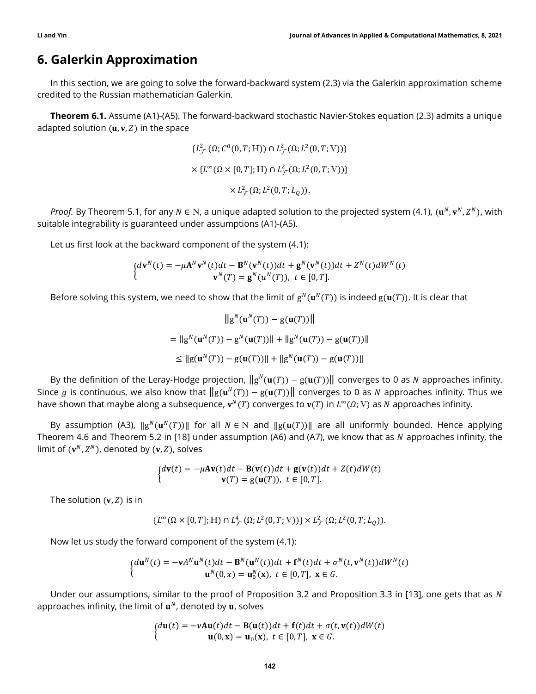### 6. Galerkin Approximation

In this section, we are going to solve the forward-backward system (2.3) via the Galerkin approximation scheme credited to the Russian mathematician Galerkin.

**Theorem 6.1.** Assume (A1)-(A5). The forward-backward stochastic Navier-Stokes equation (2.3) admits a unique adapted solution  $(u, v, Z)$  in the space

$$
\{L^2_{\mathcal{F}}(\Omega; C^0(0,T; \mathcal{H})) \cap L^2_{\mathcal{F}}(\Omega; L^2(0,T; \mathcal{V})))\}
$$
  

$$
\times \{L^{\infty}(\Omega \times [0,T]; \mathcal{H}) \cap L^2_{\mathcal{F}}(\Omega; L^2(0,T; \mathcal{V})))\}
$$
  

$$
\times L^2_{\mathcal{F}}(\Omega; L^2(0,T; L_Q)).
$$

*Proof.* By Theorem 5.1, for any  $N \in N$ , a unique adapted solution to the projected system (4.1),  $(\mathbf{u}^N, \mathbf{v}^N, Z^N)$ , with suitable integrability is guaranteed under assumptions (A1)-(A5).

Let us first look at the backward component of the system (4.1):

$$
\begin{cases} d\mathbf{v}^N(t) = -\mu \mathbf{A}^N \mathbf{v}^N(t) dt - \mathbf{B}^N(\mathbf{v}^N(t)) dt + \mathbf{g}^N(\mathbf{v}^N(t)) dt + Z^N(t) dW^N(t) \\ \mathbf{v}^N(T) = \mathbf{g}^N(u^N(T)), \ t \in [0, T]. \end{cases}
$$

Before solving this system, we need to show that the limit of  $g^N(u^N(T))$  is indeed  $g(u(T))$ . It is clear that

$$
||g^{N}(\mathbf{u}^{N}(T)) - g(\mathbf{u}(T))||
$$
  
=  $||g^{N}(\mathbf{u}^{N}(T)) - g^{N}(\mathbf{u}(T))|| + ||g^{N}(\mathbf{u}(T)) - g(\mathbf{u}(T))||$   
 $\leq ||g(\mathbf{u}^{N}(T)) - g(\mathbf{u}(T))|| + ||g^{N}(\mathbf{u}(T)) - g(\mathbf{u}(T))||$ 

By the definition of the Leray-Hodge projection,  $\|g^N(u(T)) - g(u(T))\|$  converges to 0 as N approaches infinity. Since  $g$  is continuous, we also know that  $\|g({\bf u}^N(T))-g({\bf u}(T))\|$  converges to 0 as  $N$  approaches infinity. Thus we have shown that maybe along a subsequence,  $\mathbf{v}^N(T)$  converges to  $\mathbf{v}(T)$  in  $L^\infty(\Omega; V)$  as N approaches infinity.

By assumption (A3),  $\|g^N(u^N(T))\|$  for all  $N \in \mathbb{N}$  and  $\|g(u(T))\|$  are all uniformly bounded. Hence applying Theorem 4.6 and Theorem 5.2 in [18] under assumption (A6) and (A7), we know that as  $N$  approaches infinity, the limit of  $(v^N, Z^N)$ , denoted by  $(v, Z)$ , solves

$$
\begin{cases} d\mathbf{v}(t) = -\mu A \mathbf{v}(t) dt - \mathbf{B}(\mathbf{v}(t)) dt + \mathbf{g}(\mathbf{v}(t)) dt + Z(t) dW(t) \\ \mathbf{v}(T) = \mathbf{g}(\mathbf{u}(T)), \ t \in [0, T]. \end{cases}
$$

The solution  $(v, Z)$  is in

$$
\{L^{\infty}(\Omega\times[0,T];\mathbb{H})\cap L_{\mathcal{F}}^{4}(\Omega;L^{2}(0,T;\mathbb{V}))\}\times L_{\mathcal{F}}^{2}(\Omega;L^{2}(0,T;L_{Q})).
$$

Now let us study the forward component of the system (4.1):

$$
\begin{cases} d\mathbf{u}^{N}(t) = -\mathbf{v}A^{N}\mathbf{u}^{N}(t)dt - \mathbf{B}^{N}(\mathbf{u}^{N}(t))dt + \mathbf{f}^{N}(t)dt + \sigma^{N}(t,\mathbf{v}^{N}(t))dW^{N}(t) \\ \mathbf{u}^{N}(0,x) = \mathbf{u}_{0}^{N}(x), \ t \in [0,T], \ \mathbf{x} \in G. \end{cases}
$$

Under our assumptions, similar to the proof of Proposition 3.2 and Proposition 3.3 in [13], one gets that as N approaches infinity, the limit of  $\mathbf{u}^N$ , denoted by  $\mathbf{u}$ , solves

$$
\begin{cases} d\mathbf{u}(t) = -vA\mathbf{u}(t)dt - \mathbf{B}(\mathbf{u}(t))dt + \mathbf{f}(t)dt + \sigma(t, \mathbf{v}(t))dW(t) \\ \mathbf{u}(0, \mathbf{x}) = \mathbf{u}_0(\mathbf{x}), \ t \in [0, T], \ \mathbf{x} \in G. \end{cases}
$$